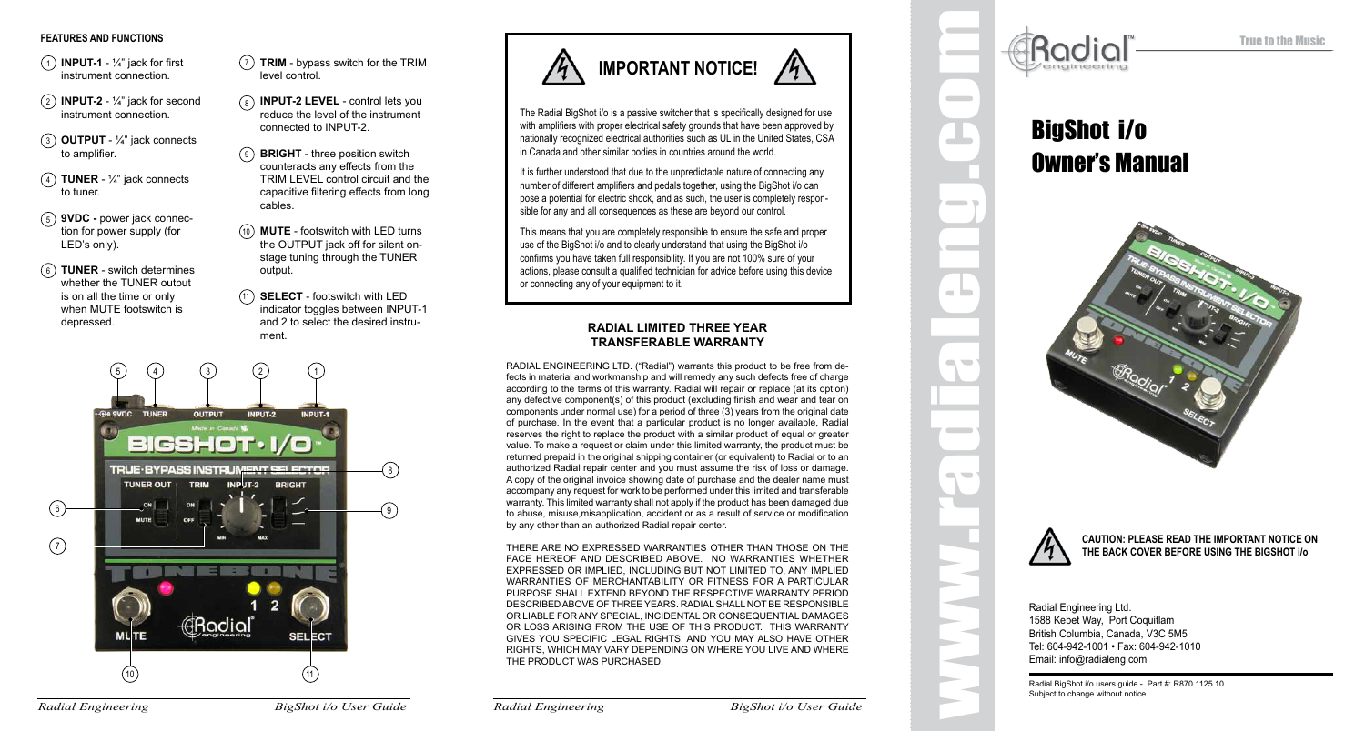#### **FEATURES AND FUNCTIONS**

- 1 **INPUT-1** ¼" jack for first instrument connection.
- 2 **INPUT-2** ¼" jack for second instrument connection.
- 3 **OUTPUT** ¼" jack connects to amplifier.
- 4 **TUNER** ¼" jack connects to tuner.
- **9VDC** power jack connec-5 tion for power supply (for LED's only).
- **TUNER** switch determines 6 whether the TUNER output is on all the time or only when MUTE footswitch is depressed.
- 7 **TRIM** bypass switch for the TRIM level control.
- 8 **INPUT-2 LEVEL** control lets you reduce the level of the instrument connected to INPUT-2.
- 9 **BRIGHT** three position switch counteracts any effects from the TRIM LEVEL control circuit and the capacitive filtering effects from long cables.
- **MUTE** footswitch with LED turns 10 the OUTPUT jack off for silent onstage tuning through the TUNER output.
	- **SELECT** footswitch with LED 11 indicator toggles between INPUT-1 and 2 to select the desired instrument.





The Radial BigShot i/o is a passive switcher that is specifically designed for use with amplifiers with proper electrical safety grounds that have been approved by nationally recognized electrical authorities such as UL in the United States, CSA in Canada and other similar bodies in countries around the world.

It is further understood that due to the unpredictable nature of connecting any number of different amplifiers and pedals together, using the BigShot i/o can pose a potential for electric shock, and as such, the user is completely responsible for any and all consequences as these are beyond our control.

This means that you are completely responsible to ensure the safe and proper use of the BigShot i/o and to clearly understand that using the BigShot i/o confirms you have taken full responsibility. If you are not 100% sure of your actions, please consult a qualified technician for advice before using this device or connecting any of your equipment to it.

### **RADIAL LIMITED THREE YEAR TRANSFERABLE WARRANTY**

RADIAL ENGINEERING LTD. ("Radial") warrants this product to be free from defects in material and workmanship and will remedy any such defects free of charge according to the terms of this warranty. Radial will repair or replace (at its option) any defective component(s) of this product (excluding finish and wear and tear on components under normal use) for a period of three (3) years from the original date of purchase. In the event that a particular product is no longer available, Radial reserves the right to replace the product with a similar product of equal or greater value. To make a request or claim under this limited warranty, the product must be returned prepaid in the original shipping container (or equivalent) to Radial or to an authorized Radial repair center and you must assume the risk of loss or damage. A copy of the original invoice showing date of purchase and the dealer name must accompany any request for work to be performed under this limited and transferable warranty. This limited warranty shall not apply if the product has been damaged due to abuse, misuse,misapplication, accident or as a result of service or modification by any other than an authorized Radial repair center.

THERE ARE NO EXPRESSED WARRANTIES OTHER THAN THOSE ON THE FACE HEREOF AND DESCRIBED ABOVE. NO WARRANTIES WHETHER EXPRESSED OR IMPLIED, INCLUDING BUT NOT LIMITED TO, ANY IMPLIED WARRANTIES OF MERCHANTABILITY OR FITNESS FOR A PARTICULAR PURPOSE SHALL EXTEND BEYOND THE RESPECTIVE WARRANTY PERIOD DESCRIBED ABOVE OF THREE YEARS. RADIAL SHALL NOT BE RESPONSIBLE OR LIABLE FOR ANY SPECIAL, INCIDENTAL OR CONSEQUENTIAL DAMAGES OR LOSS ARISING FROM THE USE OF THIS PRODUCT. THIS WARRANTY GIVES YOU SPECIFIC LEGAL RIGHTS, AND YOU MAY ALSO HAVE OTHER RIGHTS, WHICH MAY VARY DEPENDING ON WHERE YOU LIVE AND WHERE THE PRODUCT WAS PURCHASED.

**Example 19 And Super to change without office Super to change without office**<br>
Super to change without office<br>
Example 19 And Super to change without office<br>
Big Shot i *V*o<br>
Bradial Engineering Ltd.<br>
The BACK COV<br>
Fracti

True to the Music

# Owner's Manual





**CAUTION: PLEASE READ THE IMPORTANT NOTICE ON THE BACK COVER BEFORE USING THE BIGSHOT i/o**

Radial Engineering Ltd. 1588 Kebet Way, Port Coquitlam British Columbia, Canada, V3C 5M5 Tel: 604-942-1001 • Fax: 604-942-1010 Email: info@radialeng.com

Radial BigShot i/o users guide - Part #: R870 1125 10 Subject to change without notice

*Radial Engineering BigShot i/o User Guide*